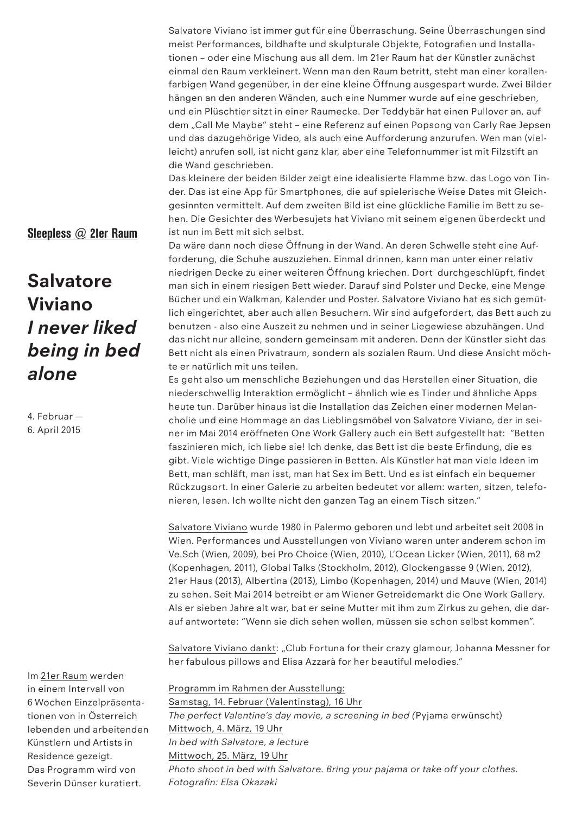Salvatore Viviano ist immer gut für eine Überraschung. Seine Überraschungen sind meist Performances, bildhafte und skulpturale Objekte, Fotografien und Installationen – oder eine Mischung aus all dem. Im 21er Raum hat der Künstler zunächst einmal den Raum verkleinert. Wenn man den Raum betritt, steht man einer korallenfarbigen Wand gegenüber, in der eine kleine Öffnung ausgespart wurde. Zwei Bilder hängen an den anderen Wänden, auch eine Nummer wurde auf eine geschrieben, und ein Plüschtier sitzt in einer Raumecke. Der Teddybär hat einen Pullover an, auf dem "Call Me Maybe" steht - eine Referenz auf einen Popsong von Carly Rae Jepsen und das dazugehörige Video, als auch eine Aufforderung anzurufen. Wen man (vielleicht) anrufen soll, ist nicht ganz klar, aber eine Telefonnummer ist mit Filzstift an die Wand geschrieben.

Das kleinere der beiden Bilder zeigt eine idealisierte Flamme bzw. das Logo von Tinder. Das ist eine App für Smartphones, die auf spielerische Weise Dates mit Gleichgesinnten vermittelt. Auf dem zweiten Bild ist eine glückliche Familie im Bett zu sehen. Die Gesichter des Werbesujets hat Viviano mit seinem eigenen überdeckt und ist nun im Bett mit sich selbst.

Da wäre dann noch diese Öffnung in der Wand. An deren Schwelle steht eine Aufforderung, die Schuhe auszuziehen. Einmal drinnen, kann man unter einer relativ niedrigen Decke zu einer weiteren Öffnung kriechen. Dort durchgeschlüpft, findet man sich in einem riesigen Bett wieder. Darauf sind Polster und Decke, eine Menge Bücher und ein Walkman, Kalender und Poster. Salvatore Viviano hat es sich gemütlich eingerichtet, aber auch allen Besuchern. Wir sind aufgefordert, das Bett auch zu benutzen - also eine Auszeit zu nehmen und in seiner Liegewiese abzuhängen. Und das nicht nur alleine, sondern gemeinsam mit anderen. Denn der Künstler sieht das Bett nicht als einen Privatraum, sondern als sozialen Raum. Und diese Ansicht möchte er natürlich mit uns teilen.

Es geht also um menschliche Beziehungen und das Herstellen einer Situation, die niederschwellig Interaktion ermöglicht – ähnlich wie es Tinder und ähnliche Apps heute tun. Darüber hinaus ist die Installation das Zeichen einer modernen Melancholie und eine Hommage an das Lieblingsmöbel von Salvatore Viviano, der in seiner im Mai 2014 eröffneten One Work Gallery auch ein Bett aufgestellt hat: "Betten faszinieren mich, ich liebe sie! Ich denke, das Bett ist die beste Erfindung, die es gibt. Viele wichtige Dinge passieren in Betten. Als Künstler hat man viele Ideen im Bett, man schläft, man isst, man hat Sex im Bett. Und es ist einfach ein bequemer Rückzugsort. In einer Galerie zu arbeiten bedeutet vor allem: warten, sitzen, telefonieren, lesen. Ich wollte nicht den ganzen Tag an einem Tisch sitzen."

Salvatore Viviano wurde 1980 in Palermo geboren und lebt und arbeitet seit 2008 in Wien. Performances und Ausstellungen von Viviano waren unter anderem schon im Ve.Sch (Wien, 2009), bei Pro Choice (Wien, 2010), L'Ocean Licker (Wien, 2011), 68 m2 (Kopenhagen, 2011), Global Talks (Stockholm, 2012), Glockengasse 9 (Wien, 2012), 21er Haus (2013), Albertina (2013), Limbo (Kopenhagen, 2014) und Mauve (Wien, 2014) zu sehen. Seit Mai 2014 betreibt er am Wiener Getreidemarkt die One Work Gallery. Als er sieben Jahre alt war, bat er seine Mutter mit ihm zum Zirkus zu gehen, die darauf antwortete: "Wenn sie dich sehen wollen, müssen sie schon selbst kommen".

Salvatore Viviano dankt: "Club Fortuna for their crazy glamour, Johanna Messner for her fabulous pillows and Elisa Azzarà for her beautiful melodies."

Programm im Rahmen der Ausstellung: Samstag, 14. Februar (Valentinstag), 16 Uhr *The perfect Valentine's day movie, a screening in bed (*Pyjama erwünscht) Mittwoch, 4. März, 19 Uhr *In bed with Salvatore, a lecture* Mittwoch, 25. März, 19 Uhr *Photo shoot in bed with Salvatore. Bring your pajama or take off your clothes. Fotografin: Elsa Okazaki*

## Sleepless @ 21er Raum

## **Salvatore Viviano** *I never liked being in bed alone*

4. Februar — 6. April 2015

Im 21er Raum werden in einem Intervall von 6 Wochen Einzelpräsentationen von in Österreich lebenden und arbeitenden Künstlern und Artists in Residence gezeigt. Das Programm wird von Severin Dünser kuratiert.